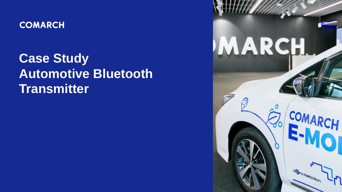

**Case Study Automotive Bluetooth Transmitter**

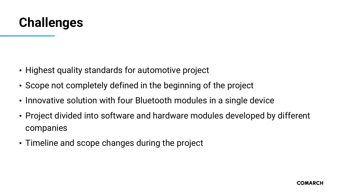

- Highest quality standards for automotive project
- Scope not completely defined in the beginning of the project
- Innovative solution with four Bluetooth modules in a single device
- Project divided into software and hardware modules developed by different companies
- Timeline and scope changes during the project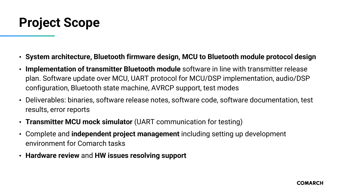## **Project Scope**

- **System architecture, Bluetooth firmware design, MCU to Bluetooth module protocol design**
- **Implementation of transmitter Bluetooth module** software in line with transmitter release plan. Software update over MCU, UART protocol for MCU/DSP implementation, audio/DSP configuration, Bluetooth state machine, AVRCP support, test modes
- Deliverables: binaries, software release notes, software code, software documentation, test results, error reports
- **Transmitter MCU mock simulator** (UART communication for testing)
- Complete and **independent project management** including setting up development environment for Comarch tasks
- **Hardware review** and **HW issues resolving support**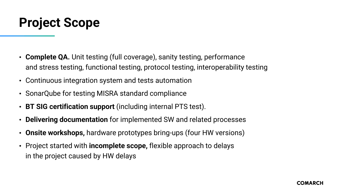## **Project Scope**

- **Complete QA.** Unit testing (full coverage), sanity testing, performance and stress testing, functional testing, protocol testing, interoperability testing
- Continuous integration system and tests automation
- SonarQube for testing MISRA standard compliance
- **BT SIG certification support** (including internal PTS test).
- **Delivering documentation** for implemented SW and related processes
- **Onsite workshops,** hardware prototypes bring-ups (four HW versions)
- Project started with **incomplete scope,** flexible approach to delays in the project caused by HW delays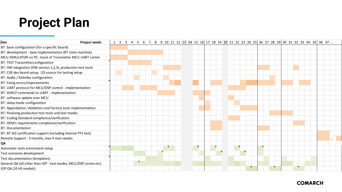# **Project Plan**

| Project week:<br>Dev                                           |  | $1 \mid 2 \mid 3$ | $\vert$ | 5 <sup>1</sup> | $6 \mid$ | 7 |  |  | 8 9 10 11 12 13 14 15 16 17 18 19 20 21 22 23 24 25 26 27 28 29 30 31 32 33 34 35 36 37 |  |  |  |  |  |  |  |  |  |  |
|----------------------------------------------------------------|--|-------------------|---------|----------------|----------|---|--|--|-----------------------------------------------------------------------------------------|--|--|--|--|--|--|--|--|--|--|
| BT: base configuration (for a specific board)                  |  |                   |         |                |          |   |  |  |                                                                                         |  |  |  |  |  |  |  |  |  |  |
| BT: development - base implementation (BT state machine)       |  |                   |         |                |          |   |  |  |                                                                                         |  |  |  |  |  |  |  |  |  |  |
| MCU SIMULATOR on PC: mock of Transmitter MCU UART comm         |  |                   |         |                |          |   |  |  |                                                                                         |  |  |  |  |  |  |  |  |  |  |
| BT: TEST Transmitterconfiguration                              |  |                   |         |                |          |   |  |  |                                                                                         |  |  |  |  |  |  |  |  |  |  |
| BT: HW integration (HW version 1,2,3), production test tools   |  |                   |         |                |          |   |  |  |                                                                                         |  |  |  |  |  |  |  |  |  |  |
| BT: CSR dev board setup, I2S source for testing setup          |  |                   |         |                |          |   |  |  |                                                                                         |  |  |  |  |  |  |  |  |  |  |
| BT: Audio / Kalimba configuration                              |  |                   |         |                |          |   |  |  |                                                                                         |  |  |  |  |  |  |  |  |  |  |
| BT: Fixing errors/improvements                                 |  |                   |         |                |          |   |  |  |                                                                                         |  |  |  |  |  |  |  |  |  |  |
| BT: UART protocol for MCU/DSP control - implementation         |  |                   |         |                |          |   |  |  |                                                                                         |  |  |  |  |  |  |  |  |  |  |
| BT: AVRCP commands to UART - implementation                    |  |                   |         |                |          |   |  |  |                                                                                         |  |  |  |  |  |  |  |  |  |  |
| BT: software update over MCU                                   |  |                   |         |                |          |   |  |  |                                                                                         |  |  |  |  |  |  |  |  |  |  |
| BT: sleep mode configuration                                   |  |                   |         |                |          |   |  |  |                                                                                         |  |  |  |  |  |  |  |  |  |  |
| BT: Approbation, Validation and Factory tests implementation   |  |                   |         |                |          |   |  |  |                                                                                         |  |  |  |  |  |  |  |  |  |  |
| BT: finalizing production test tools and test modes            |  |                   |         |                |          |   |  |  |                                                                                         |  |  |  |  |  |  |  |  |  |  |
| BT: Coding Standard compliance/verification                    |  |                   |         |                |          |   |  |  |                                                                                         |  |  |  |  |  |  |  |  |  |  |
| BT: OEM's requirements compliance/verification                 |  |                   |         |                |          |   |  |  |                                                                                         |  |  |  |  |  |  |  |  |  |  |
| <b>BT: Documentation</b>                                       |  |                   |         |                |          |   |  |  |                                                                                         |  |  |  |  |  |  |  |  |  |  |
| BT: BT SIG certification support (including internal PTS test) |  |                   |         |                |          |   |  |  |                                                                                         |  |  |  |  |  |  |  |  |  |  |
| Remote Support - 3 months, max 4 man-weeks                     |  |                   |         |                |          |   |  |  |                                                                                         |  |  |  |  |  |  |  |  |  |  |
| QA                                                             |  |                   |         |                |          |   |  |  |                                                                                         |  |  |  |  |  |  |  |  |  |  |
| Automatic tests enviroment setup                               |  |                   |         |                |          |   |  |  |                                                                                         |  |  |  |  |  |  |  |  |  |  |
| Test scenarios development                                     |  |                   |         |                |          |   |  |  |                                                                                         |  |  |  |  |  |  |  |  |  |  |
| Test documentation (templates)                                 |  |                   |         |                |          |   |  |  |                                                                                         |  |  |  |  |  |  |  |  |  |  |
| General QA (all other than IOP - test modes, MCU/DSP comm etc) |  |                   |         |                |          |   |  |  |                                                                                         |  |  |  |  |  |  |  |  |  |  |
| IOP QA (10 HS models)                                          |  |                   |         |                |          |   |  |  |                                                                                         |  |  |  |  |  |  |  |  |  |  |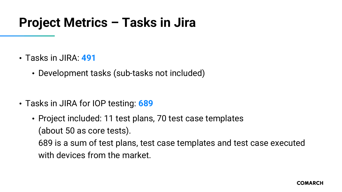## **Project Metrics – Tasks in Jira**

- Tasks in JIRA: **491**
	- Development tasks (sub-tasks not included)

- Tasks in JIRA for IOP testing: **689**
	- Project included: 11 test plans, 70 test case templates (about 50 as core tests).

689 is a sum of test plans, test case templates and test case executed with devices from the market.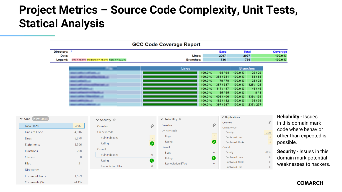### **Project Metrics – Source Code Complexity, Unit Tests, Statical Analysis**

|                                  |       |                                                 |               | <b>GCC Code Coverage Report</b>               |                                                                              |                                                                                      |                                                                              |                                                                                                   |   |                                                                        |
|----------------------------------|-------|-------------------------------------------------|---------------|-----------------------------------------------|------------------------------------------------------------------------------|--------------------------------------------------------------------------------------|------------------------------------------------------------------------------|---------------------------------------------------------------------------------------------------|---|------------------------------------------------------------------------|
| Directory: /<br>Date:<br>Legend: |       | low: < 75.0 % medium: >= 75.0 % high: >= 90.0 % |               | <b>Branches:</b>                              | Lines:                                                                       | Exec<br>2097<br>736                                                                  |                                                                              | <b>Total</b><br>2097<br>736                                                                       |   | Coverage<br>100.0%<br>100.0%                                           |
|                                  |       |                                                 |               | Lines                                         | 100.0%<br>100.0%<br>100.0%<br>100.0%<br>100.0%<br>100.0%<br>100.0%<br>100.0% | 94/94<br>381/381<br>78/78<br>387 / 387<br>117/117<br>55 / 55<br>406 / 406<br>182/182 | 100.0%<br>100.0%<br>100.0%<br>100.0%<br>100.0%<br>100.0%<br>100.0%<br>100.0% | <b>Branches</b><br>29 / 29<br>88/88<br>28/28<br>125 / 125<br>46 / 46<br>8/8<br>139 / 139<br>36/36 |   |                                                                        |
|                                  | 4,966 | $\vee$ Security $\circledcirc$<br>Overview      | $\mathcal{S}$ | $\vee$ Reliability $\circledcirc$<br>Overview | 100.0%                                                                       | 397 / 397<br>Overview<br>$\mathcal{S}$<br>On new code                                | 100.0%<br>$\vee$ Duplications                                                | 237 / 237                                                                                         | P | <b>Reliability - Issues</b><br>in this domain mar<br>code where behavi |



Comments (%)

24.1%

#### **COMARCH**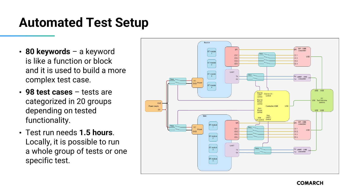## **Automated Test Setup**

- **80 keywords**  a keyword is like a function or block and it is used to build a more complex test case.
- **98 test cases**  tests are categorized in 20 groups depending on tested functionality.
- Test run needs **1.5 hours**. Locally, it is possible to run a whole group of tests or one specific test.

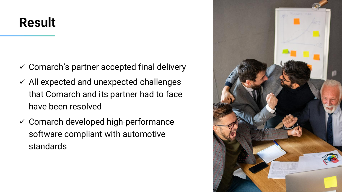# **Result**

- $\checkmark$  Comarch's partner accepted final delivery
- $\checkmark$  All expected and unexpected challenges that Comarch and its partner had to face have been resolved
- $\checkmark$  Comarch developed high-performance software compliant with automotive standards